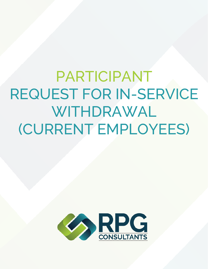PARTICIPANT REQUEST FOR IN-SERVICE WITHDRAWAL (CURRENT EMPLOYEES)

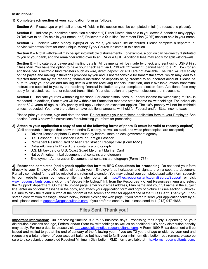#### **Instructions:**

### **1) Complete each section of your application form as follows:**

**Section A** – Please type or print all entries. All fields in this section must be completed in full (no redactions please).

**Section B** – Indicate your desired distribution elections: 1) Direct Distribution paid to you (taxes & penalties may apply), 2) Rollover to an IRA held in your name, or 3) Rollover to a Qualified Retirement Plan (QRP) account held in your name.

**Section C** – Indicate which Money Type(s) or Source(s) you would like distributed. Please complete a separate inservice withdrawal form for each unique Money Type/ Source indicated in this section.

**Section D** – A total withdrawal may be split into multiple disbursements. For example, a portion can be directly distributed to you or your bank, and the remainder rolled over to an IRA or a QRP. Additional fees may apply for split withdrawals.

**Section E** – Indicate your payee and mailing details. All payments will be made by check and sent using USPS First Class Mail. You have the option to have your check sent via UPS/FedEx/Overnight (cannot send to a PO Box) for an additional fee. Electronic fund transfers such as wire, direct deposit, or ACH are not available. The Plan will rely solely on the payee and mailing instructions provided by you and is not responsible for transmittal errors, which may lead to a rejected transmittal by the receiving financial institution or deposits being credited to an incorrect account. Please be sure to verify your payee and mailing details with the receiving financial institution, and if available, attach transmittal instructions supplied to you by the receiving financial institution to your completed election form. Additional fees may apply for rejected, returned, or reissued transmittals. Your distribution and payment elections are irrevocable.

**Section F** – Indicate your tax withholding elections. For direct distributions, a Federal income tax withholding of 20% is mandated. In addition, State taxes will be withheld for States that mandate state income tax withholdings. For individuals under 59½ years of age, a 10% penalty will apply unless an exception applies. The 10% penalty will not be withheld unless requested. You have the option to have additional amounts withheld for Federal and/or State income taxes.

Please print your name, sign and date the form. Do not submit your completed application form to your Employer. See section 2 and 3 below for instructions for submitting your form for processing.

#### **2) Attach to your application a copy of one of the following forms of photo ID (must be valid or recently expired):**  (Cell phone/tablet images that show the entire ID clearly, as well as black and white photocopies, are accepted)

Driver's license or photo ID card issued by federal, state or local government agency

- U.S. Passport, U.S. Passport Card, or Foreign Passport
- Permanent Resident Card or Alien Registration Receipt Card (Form I-551)
- College/University ID card that contains a photograph
- U.S. Military card or U.S. Coast Guard Merchant Mariner Card
- Native American tribal document that contains a photograph
- Employment Authorization Document that contains a photograph (Form I-766)

**3) Return the completed (and signed) application form to RPG Consultants for processing**. Do not send your form directly to your Employer. Our office will obtain your Employer's authorization and signature on a separate document. Partially completed forms will be rejected and returned to sender. You may upload your completed application form securely to our website using our secure file transfer portal at https://files.rpgconsultants.com/filedrop/Support or visit www.rpgconsultants.com, click on the "Secure File Upload" link from the Resources > Client Resources menu and select the "Support" department. On the file upload page, enter your email address, Plan name and your full name in the subject line, enter an optional message in the body, and attach your application form and copy of picture ID (see section 2 above). Be sure to click the "Send" button at the bottom of the screen and wait for appearance of the "**Files Sent, Thank you!**" onscreen confirmation message (shown below) before closing the web page. If you prefer to send your application form by email, please send to support@rpgconsultants.com. If you prefer to send by fax, please send to 1 (212) 947-4866.

# Files Sent, Thank you!

**Important Information:** Our processing timeline is 5 to 15 business days. Processing fees apply. Depending on your distribution elections and age, Federal and/or State tax withholdings as well as an additional 10% early-distribution penalty may apply. For more details, please visit http://specialtaxnotice.rpgconsultants.com. A Form 1099-R tax document will be issued and mailed to you at the end of January of the following year. If you are 72 years of age or older by year-end and requesting a total rollover of your account balance but have yet to fulfill your minimum distribution requirement, please be sure to also submit a completed Required Minimum Distribution (RMD) form, available at http://forms.rpgconsultants.com.